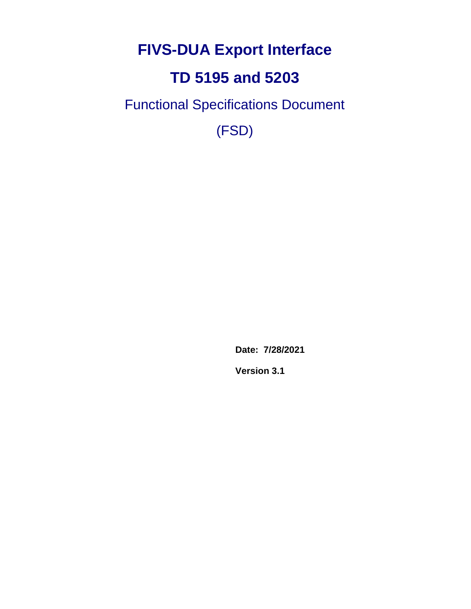**FIVS-DUA Export Interface**

# **TD 5195 and 5203**

Functional Specifications Document

(FSD)

**Date: 7/28/2021**

**Version 3.1**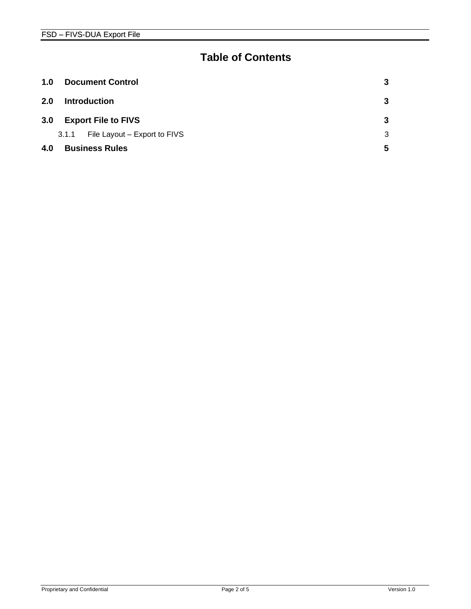### **Table of Contents**

| 1.0 | <b>Document Control</b>               | 3 |
|-----|---------------------------------------|---|
| 2.0 | <b>Introduction</b>                   | 3 |
| 3.0 | <b>Export File to FIVS</b>            | 3 |
|     | File Layout - Export to FIVS<br>3.1.1 | 3 |
| 4.0 | <b>Business Rules</b>                 |   |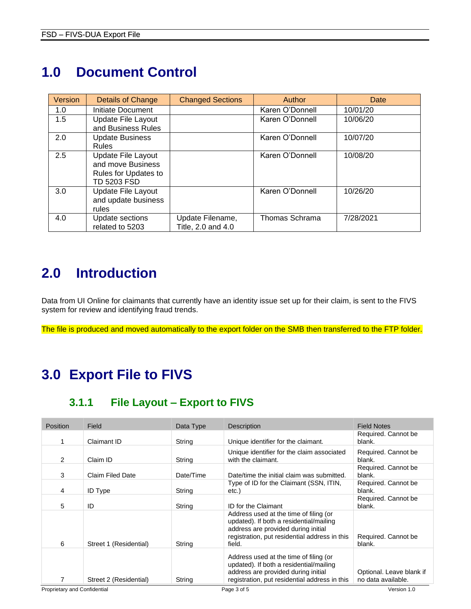## <span id="page-2-0"></span>**1.0 Document Control**

| Version | <b>Details of Change</b>                                                              | <b>Changed Sections</b>                | Author          | Date      |
|---------|---------------------------------------------------------------------------------------|----------------------------------------|-----------------|-----------|
| 1.0     | Initiate Document                                                                     |                                        | Karen O'Donnell | 10/01/20  |
| 1.5     | Update File Layout<br>and Business Rules                                              |                                        | Karen O'Donnell | 10/06/20  |
| 2.0     | <b>Update Business</b><br><b>Rules</b>                                                |                                        | Karen O'Donnell | 10/07/20  |
| 2.5     | Update File Layout<br>and move Business<br>Rules for Updates to<br><b>TD 5203 FSD</b> |                                        | Karen O'Donnell | 10/08/20  |
| 3.0     | Update File Layout<br>and update business<br>rules                                    |                                        | Karen O'Donnell | 10/26/20  |
| 4.0     | Update sections<br>related to 5203                                                    | Update Filename,<br>Title, 2.0 and 4.0 | Thomas Schrama  | 7/28/2021 |

## <span id="page-2-1"></span>**2.0 Introduction**

Data from UI Online for claimants that currently have an identity issue set up for their claim, is sent to the FIVS system for review and identifying fraud trends.

The file is produced and moved automatically to the export folder on the SMB then transferred to the FTP folder.

# <span id="page-2-2"></span>**3.0 Export File to FIVS**

### **3.1.1 File Layout – Export to FIVS**

<span id="page-2-3"></span>

| Position                            | Field                  | Data Type | <b>Description</b>                                                                                                                                                                  | <b>Field Notes</b>                             |
|-------------------------------------|------------------------|-----------|-------------------------------------------------------------------------------------------------------------------------------------------------------------------------------------|------------------------------------------------|
|                                     | Claimant ID            | String    | Unique identifier for the claimant.                                                                                                                                                 | Required. Cannot be<br>blank.                  |
| 2                                   | Claim ID               | String    | Unique identifier for the claim associated<br>with the claimant.                                                                                                                    | Required. Cannot be<br>blank.                  |
| 3                                   | Claim Filed Date       | Date/Time | Date/time the initial claim was submitted.                                                                                                                                          | Required. Cannot be<br>blank.                  |
| 4                                   | <b>ID Type</b>         | String    | Type of ID for the Claimant (SSN, ITIN,<br>etc.)                                                                                                                                    | Required. Cannot be<br>blank.                  |
| 5                                   | ID                     | String    | <b>ID for the Claimant</b>                                                                                                                                                          | Required. Cannot be<br>blank.                  |
| 6                                   | Street 1 (Residential) | String    | Address used at the time of filing (or<br>updated). If both a residential/mailing<br>address are provided during initial<br>registration, put residential address in this<br>field. | Required. Cannot be<br>blank.                  |
|                                     | Street 2 (Residential) | String    | Address used at the time of filing (or<br>updated). If both a residential/mailing<br>address are provided during initial<br>registration, put residential address in this           | Optional. Leave blank if<br>no data available. |
| <b>Proprietary and Confidential</b> |                        |           | Page 3 of 5                                                                                                                                                                         | Version 1.0                                    |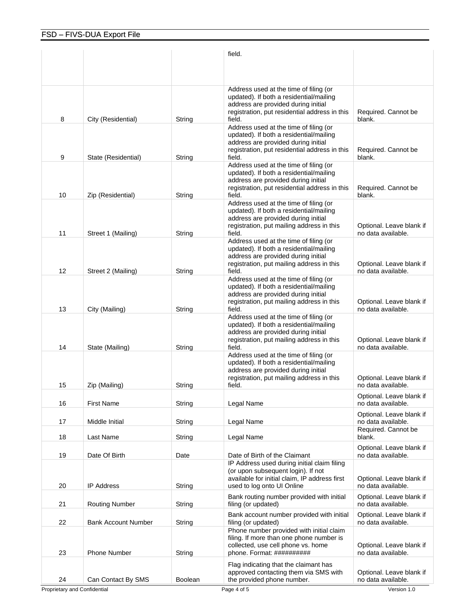#### FSD – FIVS-DUA Export File

|                              |                            |         | field.                                                                                                                                                                              |                                                |
|------------------------------|----------------------------|---------|-------------------------------------------------------------------------------------------------------------------------------------------------------------------------------------|------------------------------------------------|
|                              |                            |         |                                                                                                                                                                                     |                                                |
| 8                            | City (Residential)         | String  | Address used at the time of filing (or<br>updated). If both a residential/mailing<br>address are provided during initial<br>registration, put residential address in this<br>field. | Required. Cannot be<br>blank.                  |
| 9                            | State (Residential)        | String  | Address used at the time of filing (or<br>updated). If both a residential/mailing<br>address are provided during initial<br>registration, put residential address in this<br>field. | Required. Cannot be<br>blank.                  |
| 10                           | Zip (Residential)          | String  | Address used at the time of filing (or<br>updated). If both a residential/mailing<br>address are provided during initial<br>registration, put residential address in this<br>field. | Required. Cannot be<br>blank.                  |
| 11                           | Street 1 (Mailing)         | String  | Address used at the time of filing (or<br>updated). If both a residential/mailing<br>address are provided during initial<br>registration, put mailing address in this<br>field.     | Optional. Leave blank if<br>no data available. |
| 12                           | Street 2 (Mailing)         | String  | Address used at the time of filing (or<br>updated). If both a residential/mailing<br>address are provided during initial<br>registration, put mailing address in this<br>field.     | Optional. Leave blank if<br>no data available. |
| 13                           | City (Mailing)             | String  | Address used at the time of filing (or<br>updated). If both a residential/mailing<br>address are provided during initial<br>registration, put mailing address in this<br>field.     | Optional. Leave blank if<br>no data available. |
| 14                           | State (Mailing)            | String  | Address used at the time of filing (or<br>updated). If both a residential/mailing<br>address are provided during initial<br>registration, put mailing address in this<br>field.     | Optional. Leave blank if<br>no data available. |
| 15                           | Zip (Mailing)              | String  | Address used at the time of filing (or<br>updated). If both a residential/mailing<br>address are provided during initial<br>registration, put mailing address in this<br>field.     | Optional. Leave blank if<br>no data available. |
| 16                           | <b>First Name</b>          | String  | Legal Name                                                                                                                                                                          | Optional. Leave blank if<br>no data available. |
| 17                           | Middle Initial             | String  | Legal Name                                                                                                                                                                          | Optional. Leave blank if<br>no data available. |
| 18                           | Last Name                  | String  | Legal Name                                                                                                                                                                          | Required. Cannot be<br>blank.                  |
| 19                           | Date Of Birth              | Date    | Date of Birth of the Claimant                                                                                                                                                       | Optional. Leave blank if<br>no data available. |
| 20                           | <b>IP Address</b>          | String  | IP Address used during initial claim filing<br>(or upon subsequent login). If not<br>available for initial claim, IP address first<br>used to log onto UI Online                    | Optional. Leave blank if<br>no data available. |
| 21                           | <b>Routing Number</b>      | String  | Bank routing number provided with initial<br>filing (or updated)                                                                                                                    | Optional. Leave blank if<br>no data available. |
| 22                           | <b>Bank Account Number</b> | String  | Bank account number provided with initial<br>filing (or updated)                                                                                                                    | Optional. Leave blank if<br>no data available. |
| 23                           | <b>Phone Number</b>        | String  | Phone number provided with initial claim<br>filing. If more than one phone number is<br>collected, use cell phone vs. home<br>phone. Format: ##########                             | Optional. Leave blank if<br>no data available. |
| 24                           | Can Contact By SMS         | Boolean | Flag indicating that the claimant has<br>approved contacting them via SMS with<br>the provided phone number.                                                                        | Optional. Leave blank if<br>no data available. |
| Proprietary and Confidential |                            |         | Page 4 of 5                                                                                                                                                                         | Version 1.0                                    |